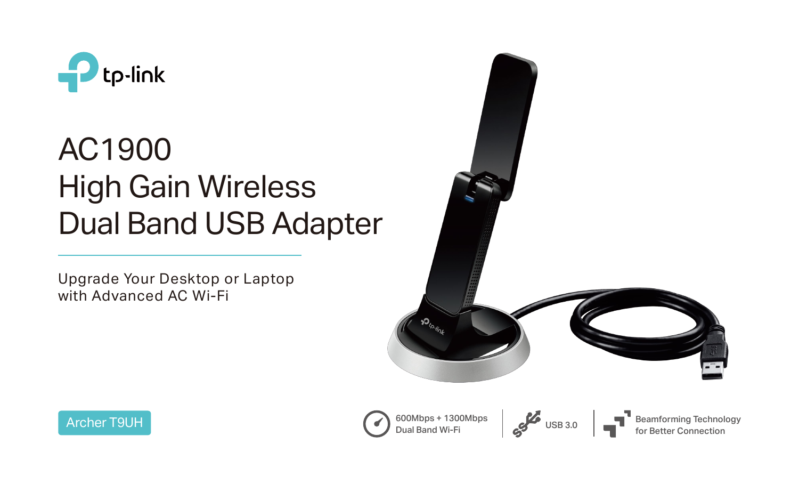

# AC1900 High Gain Wireless Dual Band USB Adapter





Upgrade Your Desktop or Laptop with Advanced AC Wi-Fi



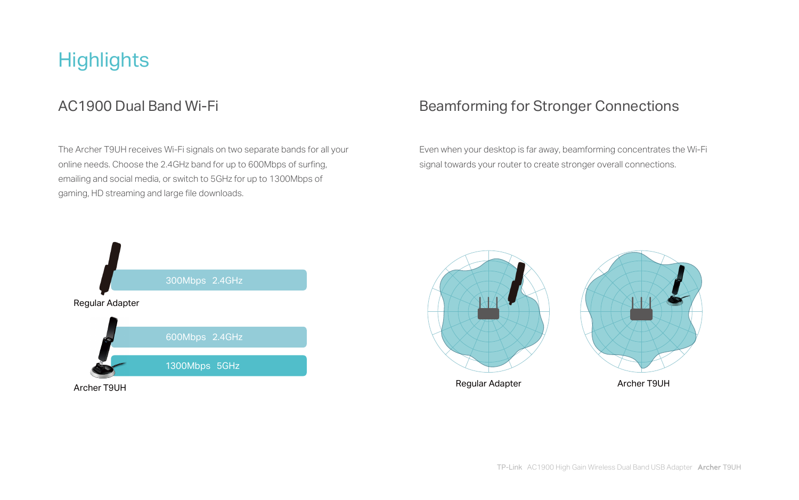## **Highlights**

### The Archer T9UH receives Wi-Fi signals on two separate bands for all your online needs. Choose the 2.4GHz band for up to 600Mbps of surfing, emailing and social media, or switch to 5GHz for up to 1300Mbps of gaming, HD streaming and large file downloads.

### AC1900 Dual Band Wi-Fi Beamforming for Stronger Connections

Even when your desktop is far away, beamforming concentrates the Wi-Fi signal towards your router to create stronger overall connections.





Archer T9UH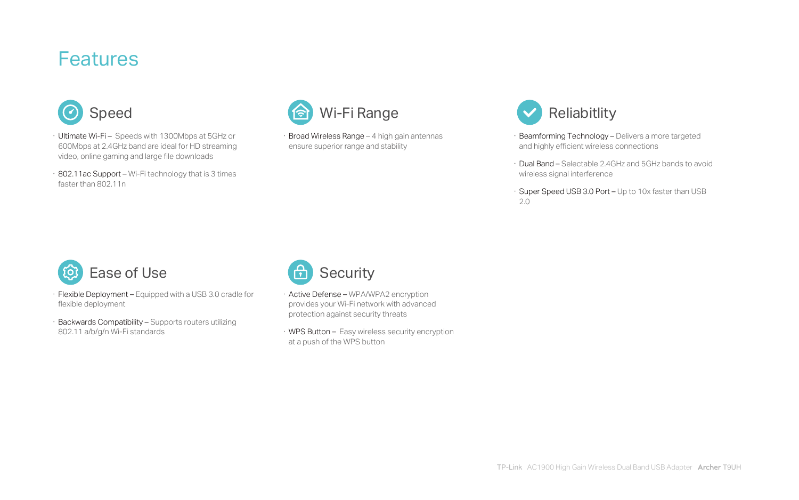- · Flexible Deployment Equipped with a USB 3.0 cradle for flexible deployment
- · Backwards Compatibility Supports routers utilizing 802.11 a/b/g/n Wi-Fi standards
- · Active Defense WPA/WPA2 encryption provides your Wi-Fi network with advanced protection against security threats
- · WPS Button Easy wireless security encryption at a push of the WPS button





- Beamforming Technology Delivers a more targeted and highly efficient wireless connections
- · Dual Band Selectable 2.4GHz and 5GHz bands to avoid wireless signal interference
- · Super Speed USB 3.0 Port Up to 10x faster than USB 2.0
- · Ultimate Wi-Fi Speeds with 1300Mbps at 5GHz or 600Mbps at 2.4GHz band are ideal for HD streaming video, online gaming and large file downloads
- · 802.11ac Support Wi-Fi technology that is 3 times faster than 802.11n

· Broad Wireless Range – 4 high gain antennas ensure superior range and stability





## Features